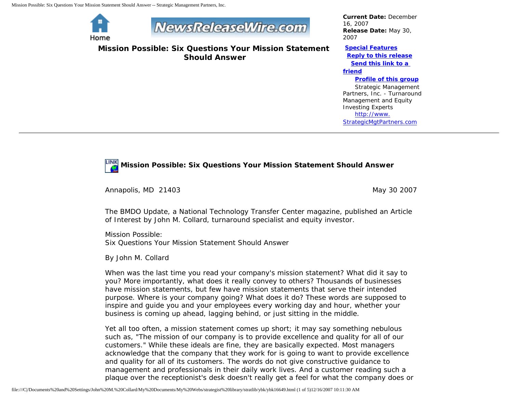Mission Possible: Six Questions Your Mission Statement Should Answer -- Strategic Management Partners, Inc.

Home



**Mission Possible: Six Questions Your Mission Statement Should Answer**

*Current Date:* December 16, 2007 *Release Date:* May 30, 2007

## **[Special Features](javascript:openlittleme()**

 **[Reply to this release](file:///C|/Documents%20and%20Settings/John%20M.%20Collard/My%20Documents/My%20Webs/strategist%20library/stratlib/ybk/default.cfm?Action=ReplyRelease&Id=16649) [Send this link to a](file:///C|/Documents%20and%20Settings/John%20M.%20Collard/My%20Documents/My%20Webs/strategist%20library/stratlib/ybk/default.cfm?Action=SendLink&SendId=16649)** 

### **[friend](file:///C|/Documents%20and%20Settings/John%20M.%20Collard/My%20Documents/My%20Webs/strategist%20library/stratlib/ybk/default.cfm?Action=SendLink&SendId=16649)**

#### **[Profile of this group](file:///C|/Documents%20and%20Settings/John%20M.%20Collard/My%20Documents/My%20Webs/strategist%20library/stratlib/ybk/default.cfm?Action=Profile&ProfileId=623)**

 Strategic Management Partners, Inc. - Turnaround Management and Equity Investing Experts [http://www.](http://www.strategicmgtpartners.com/) [StrategicMgtPartners.com](http://www.strategicmgtpartners.com/)

# **Mission Possible: Six Questions Your Mission Statement Should Answer**

Annapolis, MD 21403 May 30 2007

The BMDO Update, a National Technology Transfer Center magazine, published an Article of Interest by John M. Collard, turnaround specialist and equity investor.

Mission Possible: Six Questions Your Mission Statement Should Answer

By John M. Collard

When was the last time you read your company's mission statement? What did it say to you? More importantly, what does it really convey to others? Thousands of businesses have mission statements, but few have mission statements that serve their intended purpose. Where is your company going? What does it do? These words are supposed to inspire and guide you and your employees every working day and hour, whether your business is coming up ahead, lagging behind, or just sitting in the middle.

Yet all too often, a mission statement comes up short; it may say something nebulous such as, "The mission of our company is to provide excellence and quality for all of our customers." While these ideals are fine, they are basically expected. Most managers acknowledge that the company that they work for is going to want to provide excellence and quality for all of its customers. The words do not give constructive guidance to management and professionals in their daily work lives. And a customer reading such a plaque over the receptionist's desk doesn't really get a feel for what the company does or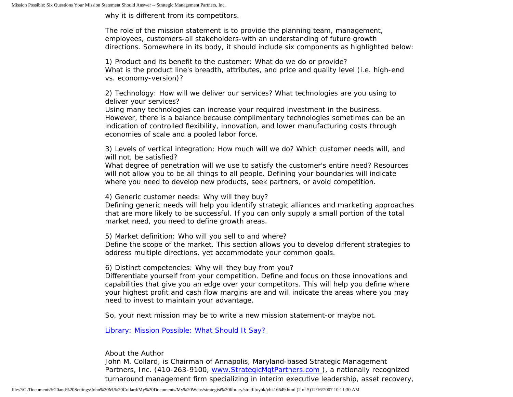why it is different from its competitors.

The role of the mission statement is to provide the planning team, management, employees, customers-all stakeholders-with an understanding of future growth directions. Somewhere in its body, it should include six components as highlighted below:

1) Product and its benefit to the customer: What do we do or provide? What is the product line's breadth, attributes, and price and quality level (i.e. high-end vs. economy-version)?

2) Technology: How will we deliver our services? What technologies are you using to deliver your services?

Using many technologies can increase your required investment in the business. However, there is a balance because complimentary technologies sometimes can be an indication of controlled flexibility, innovation, and lower manufacturing costs through economies of scale and a pooled labor force.

3) Levels of vertical integration: How much will we do? Which customer needs will, and will not, be satisfied?

What degree of penetration will we use to satisfy the customer's entire need? Resources will not allow you to be all things to all people. Defining your boundaries will indicate where you need to develop new products, seek partners, or avoid competition.

4) Generic customer needs: Why will they buy?

Defining generic needs will help you identify strategic alliances and marketing approaches that are more likely to be successful. If you can only supply a small portion of the total market need, you need to define growth areas.

5) Market definition: Who will you sell to and where?

Define the scope of the market. This section allows you to develop different strategies to address multiple directions, yet accommodate your common goals.

6) Distinct competencies: Why will they buy from you?

Differentiate yourself from your competition. Define and focus on those innovations and capabilities that give you an edge over your competitors. This will help you define where your highest profit and cash flow margins are and will indicate the areas where you may need to invest to maintain your advantage.

So, your next mission may be to write a new mission statement-or maybe not.

[Library: Mission Possible: What Should It Say?](http://members.aol.com/stratlib2/bmdoup1.html) 

## About the Author

John M. Collard, is Chairman of Annapolis, Maryland-based Strategic Management Partners, Inc. (410-263-9100, [www.StrategicMgtPartners.com](http://www.strategicmgtpartners.com/) ), a nationally recognized turnaround management firm specializing in interim executive leadership, asset recovery,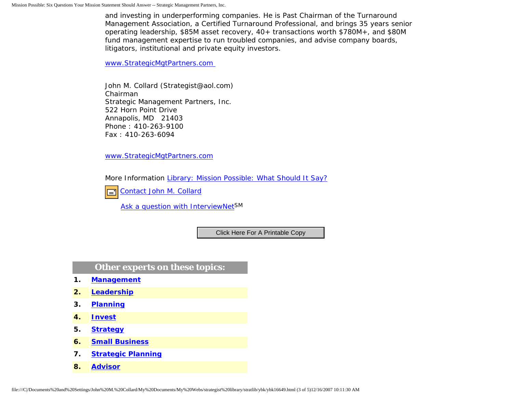and investing in underperforming companies. He is Past Chairman of the Turnaround Management Association, a Certified Turnaround Professional, and brings 35 years senior operating leadership, \$85M asset recovery, 40+ transactions worth \$780M+, and \$80M fund management expertise to run troubled companies, and advise company boards, litigators, institutional and private equity investors.

[www.StrategicMgtPartners.com](http://www.strategicmgtpartners.com/)

John M. Collard (Strategist@aol.com) Chairman Strategic Management Partners, Inc. 522 Horn Point Drive Annapolis, MD 21403 Phone : 410-263-9100 Fax : 410-263-6094

[www.StrategicMgtPartners.com](http://www.strategicmgtpartners.com/)

More Information [Library: Mission Possible: What Should It Say?](http://members.aol.com/stratlib2/bmdoup1.html)

[Contact John M. Collard](http://www.expertclick.com/expertClick/contact/default.cfm?Action=ContactExpert&GroupID=1016) ⊟

[Ask a question with InterviewNetS](http://www.expertclick.com/expertClick/contact/default.cfm?GroupID=1016)M

**Other experts on these topics:**

- **1. [Management](http://www.expertclick.com/search/default.cfm?SearchCriteria=Management)**
- **2. [Leadership](http://www.expertclick.com/search/default.cfm?SearchCriteria=Leadership)**
- **3. [Planning](http://www.expertclick.com/search/default.cfm?SearchCriteria=Planning)**
- **4. [Invest](http://www.expertclick.com/search/default.cfm?SearchCriteria=Invest)**
- **5. [Strategy](http://www.expertclick.com/search/default.cfm?SearchCriteria=Strategy)**
- **6. [Small Business](http://www.expertclick.com/search/default.cfm?SearchCriteria=Small Business)**
- **7. [Strategic Planning](http://www.expertclick.com/search/default.cfm?SearchCriteria=Strategic Planning)**
- **8. [Advisor](http://www.expertclick.com/search/default.cfm?SearchCriteria=Advisor)**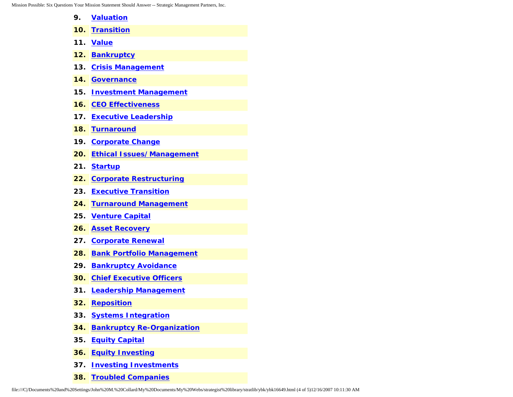Mission Possible: Six Questions Your Mission Statement Should Answer -- Strategic Management Partners, Inc.

- **9. [Valuation](http://www.expertclick.com/search/default.cfm?SearchCriteria=Valuation)**
- **10. [Transition](http://www.expertclick.com/search/default.cfm?SearchCriteria=Transition)**
- **11. [Value](http://www.expertclick.com/search/default.cfm?SearchCriteria=Value)**
- **12. [Bankruptcy](http://www.expertclick.com/search/default.cfm?SearchCriteria=Bankruptcy)**
- **13. [Crisis Management](http://www.expertclick.com/search/default.cfm?SearchCriteria=Crisis Management)**
- **14. [Governance](http://www.expertclick.com/search/default.cfm?SearchCriteria=Governance)**
- **15. [Investment Management](http://www.expertclick.com/search/default.cfm?SearchCriteria=Investment Management)**
- **16. [CEO Effectiveness](http://www.expertclick.com/search/default.cfm?SearchCriteria=CEO Effectiveness)**
- **17. [Executive Leadership](http://www.expertclick.com/search/default.cfm?SearchCriteria=Executive Leadership)**
- **18. [Turnaround](http://www.expertclick.com/search/default.cfm?SearchCriteria=Turnaround)**
- **19. [Corporate Change](http://www.expertclick.com/search/default.cfm?SearchCriteria=Corporate Change)**
- **20. [Ethical Issues/Management](http://www.expertclick.com/search/default.cfm?SearchCriteria=Ethical Issues/Management)**
- **21. [Startup](http://www.expertclick.com/search/default.cfm?SearchCriteria=Startup)**
- **22. [Corporate Restructuring](http://www.expertclick.com/search/default.cfm?SearchCriteria=Corporate Restructuring)**
- **23. [Executive Transition](http://www.expertclick.com/search/default.cfm?SearchCriteria=Executive Transition)**
- **24. [Turnaround Management](http://www.expertclick.com/search/default.cfm?SearchCriteria=Turnaround Management)**
- **25. [Venture Capital](http://www.expertclick.com/search/default.cfm?SearchCriteria=Venture Capital)**
- **26. [Asset Recovery](http://www.expertclick.com/search/default.cfm?SearchCriteria=Asset Recovery)**
- **27. [Corporate Renewal](http://www.expertclick.com/search/default.cfm?SearchCriteria=Corporate Renewal)**
- **28. [Bank Portfolio Management](http://www.expertclick.com/search/default.cfm?SearchCriteria=Bank Portfolio Management)**
- **29. [Bankruptcy Avoidance](http://www.expertclick.com/search/default.cfm?SearchCriteria=Bankruptcy Avoidance)**
- **30. [Chief Executive Officers](http://www.expertclick.com/search/default.cfm?SearchCriteria=Chief Executive Officers)**
- **31. [Leadership Management](http://www.expertclick.com/search/default.cfm?SearchCriteria=Leadership Management)**
- **32. [Reposition](http://www.expertclick.com/search/default.cfm?SearchCriteria=Reposition)**
- **33. [Systems Integration](http://www.expertclick.com/search/default.cfm?SearchCriteria=Systems Integration)**
- **34. [Bankruptcy Re-Organization](http://www.expertclick.com/search/default.cfm?SearchCriteria=Bankruptcy Re-Organization)**
- **35. [Equity Capital](http://www.expertclick.com/search/default.cfm?SearchCriteria=Equity Capital)**
- **36. [Equity Investing](http://www.expertclick.com/search/default.cfm?SearchCriteria=Equity Investing)**
- **37. [Investing Investments](http://www.expertclick.com/search/default.cfm?SearchCriteria=Investing Investments)**
- **38. [Troubled Companies](http://www.expertclick.com/search/default.cfm?SearchCriteria=Troubled Companies)**